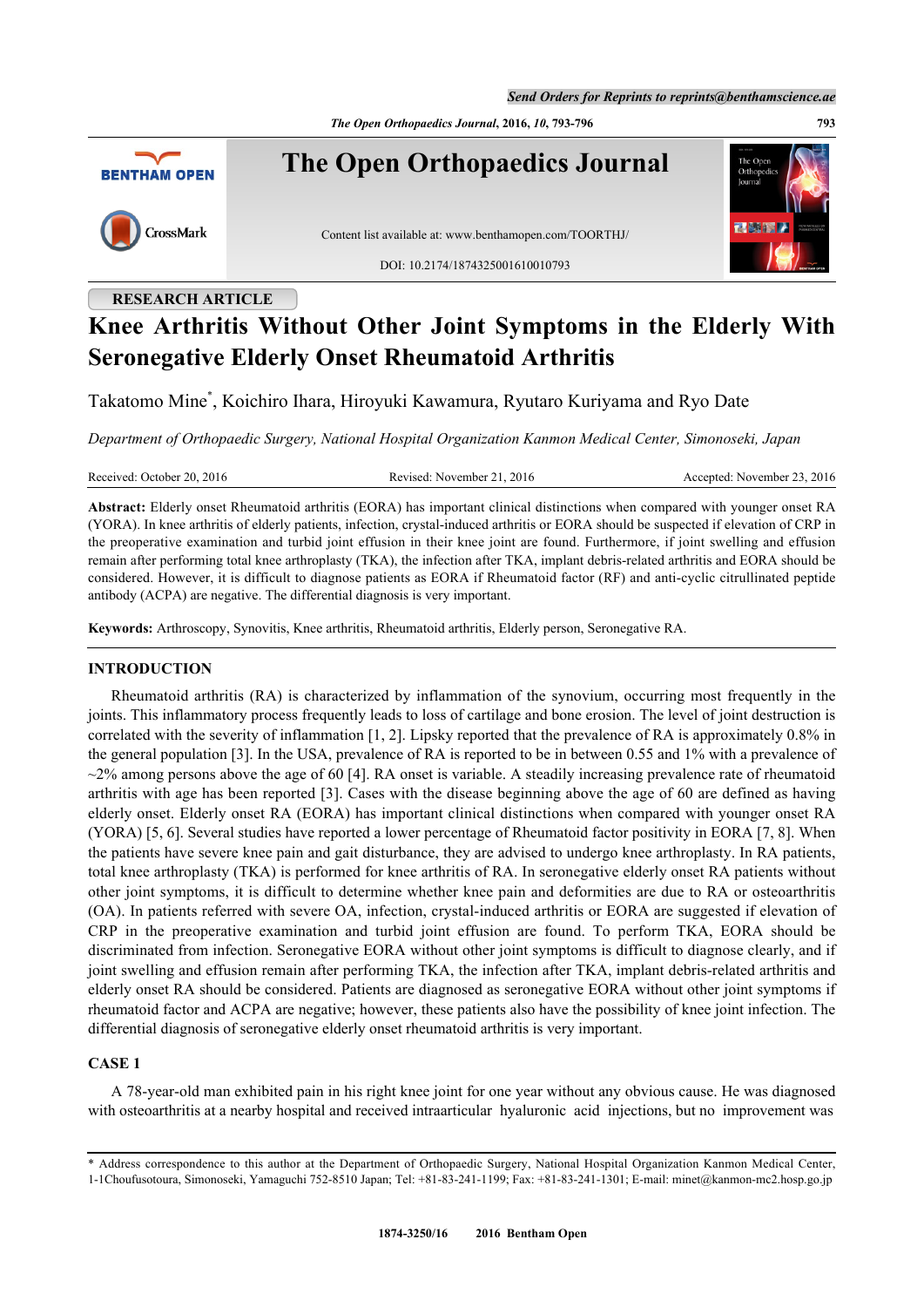*Send Orders for Reprints to reprints@benthamscience.ae*

*The Open Orthopaedics Journal***, 2016,** *10***, 793-796 793**



# **RESEARCH ARTICLE**

# **Knee Arthritis Without Other Joint Symptoms in the Elderly With Seronegative Elderly Onset Rheumatoid Arthritis**

Takatomo Mine[\\*](#page-0-0) , Koichiro Ihara, Hiroyuki Kawamura, Ryutaro Kuriyama and Ryo Date

*Department of Orthopaedic Surgery, National Hospital Organization Kanmon Medical Center, Simonoseki, Japan*

Received: October 20, 2016 Revised: November 21, 2016 Accepted: November 23, 2016

**Abstract:** Elderly onset Rheumatoid arthritis (EORA) has important clinical distinctions when compared with younger onset RA (YORA). In knee arthritis of elderly patients, infection, crystal-induced arthritis or EORA should be suspected if elevation of CRP in the preoperative examination and turbid joint effusion in their knee joint are found. Furthermore, if joint swelling and effusion remain after performing total knee arthroplasty (TKA), the infection after TKA, implant debris-related arthritis and EORA should be considered. However, it is difficult to diagnose patients as EORA if Rheumatoid factor (RF) and anti-cyclic citrullinated peptide antibody (ACPA) are negative. The differential diagnosis is very important.

**Keywords:** Arthroscopy, Synovitis, Knee arthritis, Rheumatoid arthritis, Elderly person, Seronegative RA.

#### **INTRODUCTION**

Rheumatoid arthritis (RA) is characterized by inflammation of the synovium, occurring most frequently in the joints. This inflammatory process frequently leads to loss of cartilage and bone erosion. The level of joint destruction is correlated with the severity of inflammation [[1,](#page-3-0) [2\]](#page-3-1). Lipsky reported that the prevalence of RA is approximately 0.8% in the general population [\[3](#page-3-2)]. In the USA, prevalence of RA is reported to be in between 0.55 and 1% with a prevalence of  $\sim$ 2% among persons above the age of 60 [[4\]](#page-3-3). RA onset is variable. A steadily increasing prevalence rate of rheumatoid arthritis with age has been reported [[3](#page-3-2)]. Cases with the disease beginning above the age of 60 are defined as having elderly onset. Elderly onset RA (EORA) has important clinical distinctions when compared with younger onset RA (YORA) [[5,](#page-3-4) [6\]](#page-3-5). Several studies have reported a lower percentage of Rheumatoid factor positivity in EORA [\[7](#page-3-6), [8](#page-3-7)]. When the patients have severe knee pain and gait disturbance, they are advised to undergo knee arthroplasty. In RA patients, total knee arthroplasty (TKA) is performed for knee arthritis of RA. In seronegative elderly onset RA patients without other joint symptoms, it is difficult to determine whether knee pain and deformities are due to RA or osteoarthritis (OA). In patients referred with severe OA, infection, crystal-induced arthritis or EORA are suggested if elevation of CRP in the preoperative examination and turbid joint effusion are found. To perform TKA, EORA should be discriminated from infection. Seronegative EORA without other joint symptoms is difficult to diagnose clearly, and if joint swelling and effusion remain after performing TKA, the infection after TKA, implant debris-related arthritis and elderly onset RA should be considered. Patients are diagnosed as seronegative EORA without other joint symptoms if rheumatoid factor and ACPA are negative; however, these patients also have the possibility of knee joint infection. The differential diagnosis of seronegative elderly onset rheumatoid arthritis is very important.

# **CASE 1**

A 78-year-old man exhibited pain in his right knee joint for one year without any obvious cause. He was diagnosed with osteoarthritis at a nearby hospital and received intraarticular hyaluronic acid injections, but no improvement was

<span id="page-0-0"></span><sup>\*</sup> Address correspondence to this author at the Department of Orthopaedic Surgery, National Hospital Organization Kanmon Medical Center, 1-1Choufusotoura, Simonoseki, Yamaguchi 752-8510 Japan; Tel: +81-83-241-1199; Fax: +81-83-241-1301; E-mail: [minet@kanmon-mc2.hosp.go.jp](mailto:minet@kanmon-mc2.hosp.go.jp)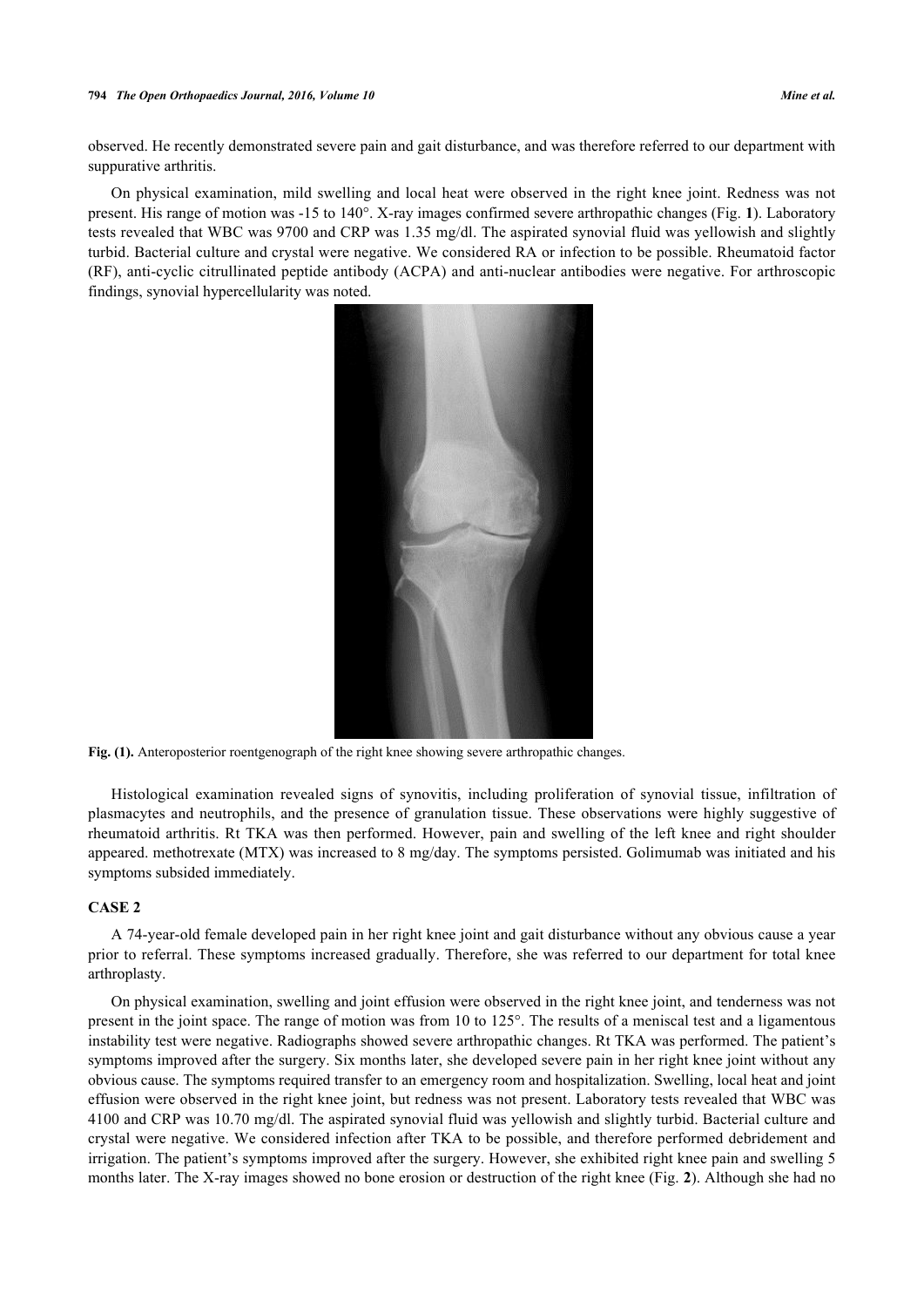observed. He recently demonstrated severe pain and gait disturbance, and was therefore referred to our department with suppurative arthritis.

<span id="page-1-0"></span>On physical examination, mild swelling and local heat were observed in the right knee joint. Redness was not present. His range of motion was -15 to 140°. X-ray images confirmed severe arthropathic changes (Fig. **[1](#page-1-0)**). Laboratory tests revealed that WBC was 9700 and CRP was 1.35 mg/dl. The aspirated synovial fluid was yellowish and slightly turbid. Bacterial culture and crystal were negative. We considered RA or infection to be possible. Rheumatoid factor (RF), anti-cyclic citrullinated peptide antibody (ACPA) and anti-nuclear antibodies were negative. For arthroscopic findings, synovial hypercellularity was noted.



**Fig. (1).** Anteroposterior roentgenograph of the right knee showing severe arthropathic changes.

Histological examination revealed signs of synovitis, including proliferation of synovial tissue, infiltration of plasmacytes and neutrophils, and the presence of granulation tissue. These observations were highly suggestive of rheumatoid arthritis. Rt TKA was then performed. However, pain and swelling of the left knee and right shoulder appeared. methotrexate (MTX) was increased to 8 mg/day. The symptoms persisted. Golimumab was initiated and his symptoms subsided immediately.

# **CASE 2**

A 74-year-old female developed pain in her right knee joint and gait disturbance without any obvious cause a year prior to referral. These symptoms increased gradually. Therefore, she was referred to our department for total knee arthroplasty.

On physical examination, swelling and joint effusion were observed in the right knee joint, and tenderness was not present in the joint space. The range of motion was from 10 to 125°. The results of a meniscal test and a ligamentous instability test were negative. Radiographs showed severe arthropathic changes. Rt TKA was performed. The patient's symptoms improved after the surgery. Six months later, she developed severe pain in her right knee joint without any obvious cause. The symptoms required transfer to an emergency room and hospitalization. Swelling, local heat and joint effusion were observed in the right knee joint, but redness was not present. Laboratory tests revealed that WBC was 4100 and CRP was 10.70 mg/dl. The aspirated synovial fluid was yellowish and slightly turbid. Bacterial culture and crystal were negative. We considered infection after TKA to be possible, and therefore performed debridement and irrigation. The patient's symptoms improved after the surgery. However, she exhibited right knee pain and swelling 5 months later. The X-ray images showed no bone erosion or destruction of the right knee (Fig. **[2](#page-2-0)**). Although she had no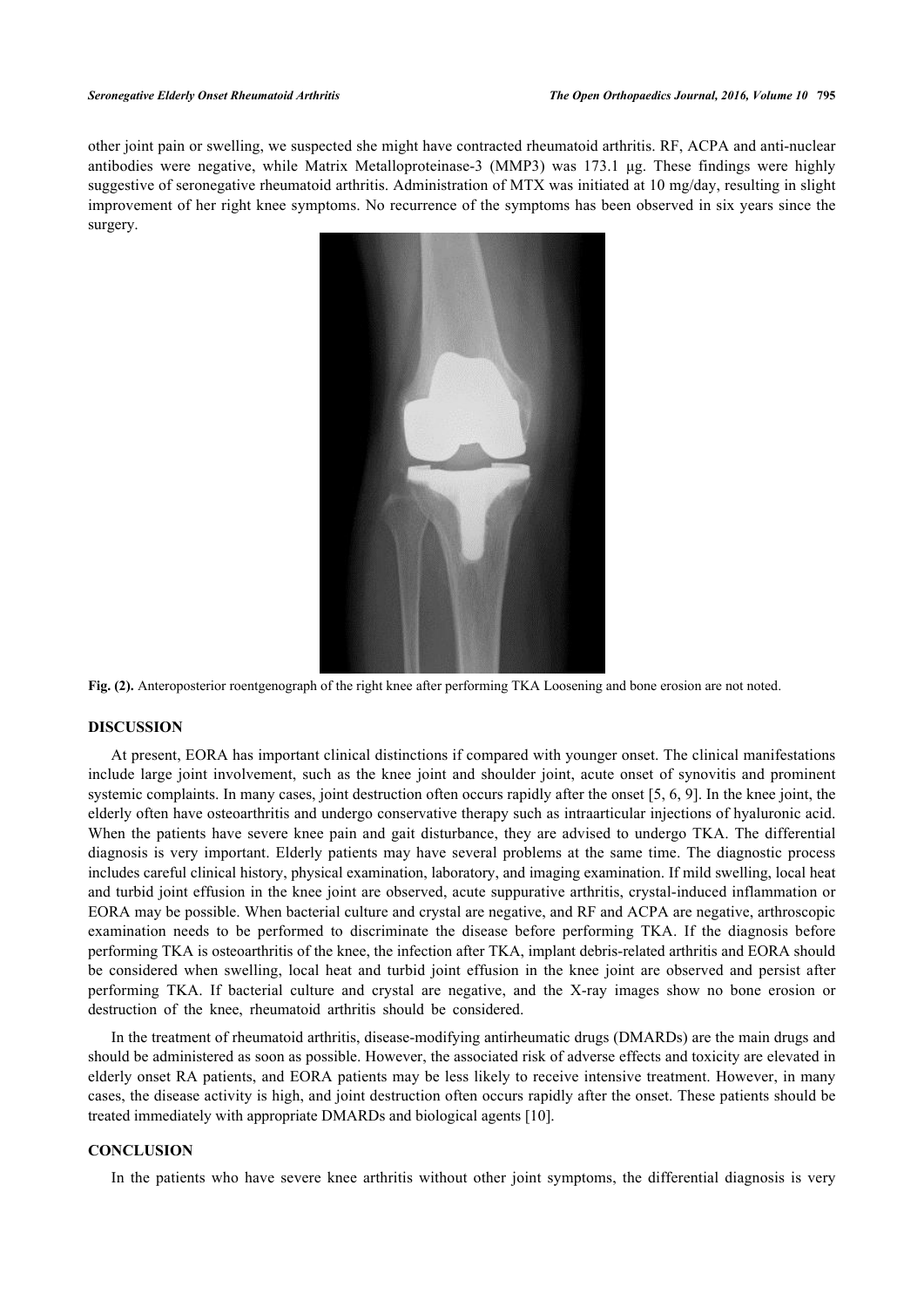other joint pain or swelling, we suspected she might have contracted rheumatoid arthritis. RF, ACPA and anti-nuclear antibodies were negative, while Matrix Metalloproteinase-3 (MMP3) was 173.1 μg. These findings were highly suggestive of seronegative rheumatoid arthritis. Administration of MTX was initiated at 10 mg/day, resulting in slight improvement of her right knee symptoms. No recurrence of the symptoms has been observed in six years since the surgery.

<span id="page-2-0"></span>

**Fig. (2).** Anteroposterior roentgenograph of the right knee after performing TKA Loosening and bone erosion are not noted.

# **DISCUSSION**

At present, EORA has important clinical distinctions if compared with younger onset. The clinical manifestations include large joint involvement, such as the knee joint and shoulder joint, acute onset of synovitis and prominent systemic complaints. In many cases, joint destruction often occurs rapidly after the onset [\[5](#page-3-4), [6](#page-3-5), [9\]](#page-3-8). In the knee joint, the elderly often have osteoarthritis and undergo conservative therapy such as intraarticular injections of hyaluronic acid. When the patients have severe knee pain and gait disturbance, they are advised to undergo TKA. The differential diagnosis is very important. Elderly patients may have several problems at the same time. The diagnostic process includes careful clinical history, physical examination, laboratory, and imaging examination. If mild swelling, local heat and turbid joint effusion in the knee joint are observed, acute suppurative arthritis, crystal-induced inflammation or EORA may be possible. When bacterial culture and crystal are negative, and RF and ACPA are negative, arthroscopic examination needs to be performed to discriminate the disease before performing TKA. If the diagnosis before performing TKA is osteoarthritis of the knee, the infection after TKA, implant debris-related arthritis and EORA should be considered when swelling, local heat and turbid joint effusion in the knee joint are observed and persist after performing TKA. If bacterial culture and crystal are negative, and the X-ray images show no bone erosion or destruction of the knee, rheumatoid arthritis should be considered.

In the treatment of rheumatoid arthritis, disease-modifying antirheumatic drugs (DMARDs) are the main drugs and should be administered as soon as possible. However, the associated risk of adverse effects and toxicity are elevated in elderly onset RA patients, and EORA patients may be less likely to receive intensive treatment. However, in many cases, the disease activity is high, and joint destruction often occurs rapidly after the onset. These patients should be treated immediately with appropriate DMARDs and biological agents [[10\]](#page-3-9).

#### **CONCLUSION**

In the patients who have severe knee arthritis without other joint symptoms, the differential diagnosis is very